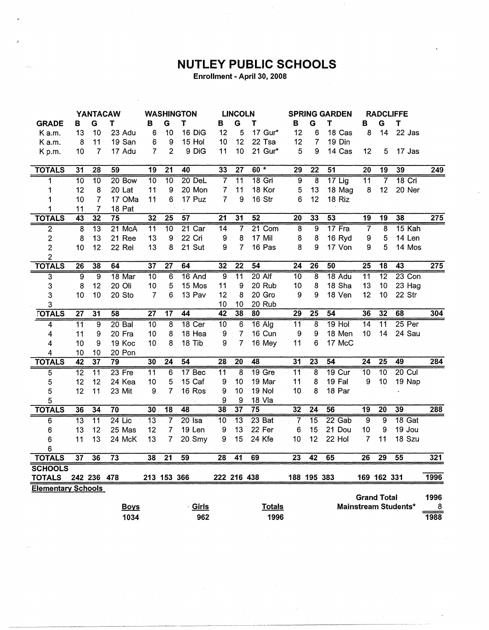## **NUTLEY PUBLIC SCHOOLS**

Enrollment - April 30, 2008

|                           | <b>YANTACAW</b> |                 | <b>WASHINGTON</b> |                 | <b>LINCOLN</b>  |                 |                 | <b>SPRING GARDEN</b> |                 |                 | <b>RADCLIFFE</b> |                 |                    |                 |                      |                  |
|---------------------------|-----------------|-----------------|-------------------|-----------------|-----------------|-----------------|-----------------|----------------------|-----------------|-----------------|------------------|-----------------|--------------------|-----------------|----------------------|------------------|
| <b>GRADE</b>              | В               | G               | Т                 | в               | G               | $\mathbf T$     | в               | G                    | т               | В               | G                | т               | в                  | G               | T                    |                  |
| K a.m.                    | 13              | 10              | 23 Adu            | 6               | 10              | 16 DiG          | 12              | 5                    | 17 Gur*         | 12              | 6                | 18 Cas          | 8                  | 14              | 22 Jas               |                  |
| K a.m.                    | 8               | 11              | 19 San            | 6               | 9               | 15 Hol          | 10              | 12                   | 22 Tsa          | 12              | 7                | 19 Din          |                    |                 |                      |                  |
| K p.m.                    | 10              | 7               | 17 Adu            | 7               | $\overline{2}$  | 9 DiG           | 11              | 10                   | 21 Gur*         | 5               | 9                | 14 Cas          | 12                 | 5               | 17 Jas               |                  |
|                           |                 |                 |                   |                 |                 |                 |                 |                      |                 |                 |                  |                 |                    |                 |                      |                  |
| <b>TOTALS</b>             | $\overline{31}$ | 28              | 59                | 19              | $\overline{21}$ | 40              | 33              | $\overline{27}$      | $60 *$          | $\overline{29}$ | $\overline{22}$  | $\overline{51}$ | $\overline{20}$    | 19              | 39                   | 249              |
| 1                         | $\overline{10}$ | $\overline{10}$ | $20$ Bow          | $\overline{10}$ | 10              | $20$ DeL        | $\overline{7}$  | $\overline{11}$      | <b>18 Gri</b>   | 9               | $\overline{8}$   | $17$ Lig        | $\overline{11}$    | 7               | $18$ Cri             |                  |
| 1                         | 12              | 8               | 20 Lat            | 11              | 9               | 20 Mon          | 7               | 11                   | 18 Kor          | 5               | 13               | 18 Mag          | 8                  | 12              | 20 Ner               |                  |
| 1                         | 10              | 7               | 17 OMa            | 11              | 6               | 17 Puz          | $\overline{7}$  | 9                    | 16 Str          | 6               | 12               | 18 Riz          |                    |                 |                      |                  |
| 1                         | 11              | 7               | 18 Pat            |                 |                 |                 |                 |                      |                 |                 |                  |                 |                    |                 |                      |                  |
| <b>TOTALS</b>             | 43              | 32              | $\overline{75}$   | $\overline{32}$ | $\overline{25}$ | $\overline{57}$ | $\overline{21}$ | 31                   | 52              | 20              | 33               | $\overline{53}$ | $\overline{19}$    | 19              | 38                   | $\overline{275}$ |
| 2                         | $\overline{8}$  | $\overline{13}$ | 21 McA            | $\overline{11}$ | $\overline{10}$ | $21$ Car        | $\overline{14}$ | $\overline{7}$       | $21$ Com        | 8               | 9                | 17 Fra          | $\overline{7}$     | 8               | $15$ Kah             |                  |
| $\overline{c}$            | 8               | 13              | 21 Ree            | 13              | 9               | 22 Cri          | 9               | 8                    | 17 Mil          | 8               | 8                | 16 Ryd          | 9                  | 5               | 14 Len               |                  |
| $\overline{\mathbf{c}}$   | 10              | 12              | 22 Rei            | 13              | 8               | 21 Sut          | 9               | $\overline{7}$       | 16 Pas          | 8               | 9                | 17 Von          | 9                  | 5               | 14 Mos               |                  |
| $\overline{2}$            |                 |                 |                   |                 |                 |                 |                 |                      |                 |                 |                  |                 |                    |                 |                      |                  |
| <b>TOTALS</b>             | $\overline{26}$ | 38              | 64                | 37              | $\overline{27}$ | 64              | 32              | $\overline{22}$      | $\overline{54}$ | $\overline{24}$ | $\overline{26}$  | 50              | $\overline{25}$    | $\overline{18}$ | $\overline{43}$      | 275              |
| $\overline{\mathbf{3}}$   | $\overline{9}$  | $\overline{9}$  | 18 Mar            | $\overline{10}$ | 6               | 16 And          | 9               | $\overline{11}$      | $20$ Alf        | 10              | 8                | $18$ Adu        | $\overline{11}$    | $\overline{12}$ | $23$ Con             |                  |
| 3                         | 8               | 12              | 20 Oli            | 10              | 5               | 15 Mos          | 11              | 9                    | 20 Rub          | 10              | 8                | 18 Sha          | 13                 | 10              | 23 Hag               |                  |
| 3                         | 10              | 10              | 20 Sto            | 7               | 6               | 13 Pav          | 12              | 8                    | 20 Gro          | 9               | 9                | 18 Ven          | 12                 | 10              | 22 Str               |                  |
| 3                         |                 |                 |                   |                 |                 |                 | 10              | 10                   | 20 Rub          |                 |                  |                 |                    |                 |                      |                  |
| <b>TOTALS</b>             | $\overline{27}$ | $\overline{31}$ | 58                | $\overline{27}$ | $\overline{17}$ | 44              | 42              | 38                   | 80              | $\overline{29}$ | 25               | 54              | 36                 | 32              | 68                   | $\overline{304}$ |
| 4                         | $\overline{11}$ | $\overline{9}$  | $20$ Bal          | 10              | $\overline{8}$  | 18 Cer          | $\overline{10}$ | 6                    | $16$ Alg        | $\overline{11}$ | 8                | $19$ Hol        | $\overline{14}$    | $\overline{11}$ | $25$ Per             |                  |
| 4                         | 11              | 9               | 20 Fra            | 10              | 8               | 18 Hea          | 9               | $\overline{7}$       | 16 Cun          | 9               | 9                | 18 Men          | 10                 | 14              | 24 Sau               |                  |
| 4                         | 10              | 9               | 19 Koc            | 10              | 8               | 18 Tib          | 9               | 7                    | 16 Mey          | 11              | 6                | 17 McC          |                    |                 |                      |                  |
| 4                         | 10              | 10              | 20 Pon            |                 |                 |                 |                 |                      |                 |                 |                  |                 |                    |                 |                      |                  |
| <b>TOTALS</b>             | $\overline{42}$ | $\overline{37}$ | 79                | 30              | $\overline{24}$ | 54              | $\overline{28}$ | $\overline{20}$      | 48              | $\overline{31}$ | $\overline{23}$  | 54              | $\overline{24}$    | $\overline{25}$ | 49                   | 284              |
| 5                         | $\overline{12}$ | $\overline{11}$ | $23$ Fre          | $\overline{11}$ | $\overline{6}$  | 17 Bec          | $\overline{11}$ | $\overline{8}$       | $19$ Gre        | $\overline{11}$ | 8                | 19 Cur          | $\overline{10}$    | 10              | 20 Cul               |                  |
| 5                         | 12              | 12              | 24 Kea            | 10              | 5               | 15 Caf          | 9               | 10                   | 19 Mar          | 11              | 8                | 19 Fal          | 9                  | 10              | 19 Nap               |                  |
| 5                         | 12              | 11              | 23 Mit            | 9               | 7               | 16 Ros          | 9               | 10                   | 19 Nol          | 10              | 8                | 18 Par          |                    |                 |                      |                  |
| 5                         |                 |                 |                   |                 |                 |                 | 9               | 9                    | 18 Vla          |                 |                  |                 |                    |                 |                      |                  |
| <b>TOTALS</b>             | 36              | 34              | 70                | 30              | $\overline{18}$ | 48              | 38              | $\overline{37}$      | $\overline{75}$ | 32              | $\overline{24}$  | $\overline{56}$ | $\overline{19}$    | $\overline{20}$ | 39                   | 288              |
| 6                         | 13              | $\overline{11}$ | $24$ Lic          | $\overline{13}$ | 7               | $20$ Isa        | 10              | $\overline{13}$      | $23$ Bat        | 7               | $\overline{15}$  | 22 Gab          | 9                  | $\overline{9}$  | $18$ Gat             |                  |
| 6                         | 13              | 12              | 25 Mas            | 12              | $\overline{7}$  | 19 Len          | 9               | 13                   | 22 Fer          | 6               | 15               | 21 Dou          | 10                 | 9               | 19 Jou               |                  |
| 6                         | 11              | 13              | 24 McK            | 13              | 7               | 20 Smy          | 9               | 15                   | 24 Kfe          | 10              | 12               | 22 Hol          | 7                  | 11              | 18 Szu               |                  |
| 6                         |                 |                 |                   |                 |                 |                 |                 |                      |                 |                 |                  |                 |                    |                 |                      |                  |
| <b>TOTALS</b>             | $\overline{37}$ | 36              | 73                | 38              | $\overline{21}$ | 59              | 28              | $\overline{41}$      | 69              | $\overline{23}$ | 42               | 65              | 26                 | 29              | 55                   | 321              |
| <b>SCHOOLS</b>            |                 |                 |                   |                 |                 |                 |                 |                      |                 |                 |                  |                 |                    |                 |                      |                  |
| <b>TOTALS</b>             |                 | 242 236 478     |                   |                 | 213 153 366     |                 |                 | 222 216 438          |                 |                 | 188 195 383      |                 |                    | 169 162 331     |                      | 1996             |
| <b>Elementary Schools</b> |                 |                 |                   |                 |                 |                 |                 |                      |                 |                 |                  |                 |                    |                 |                      |                  |
|                           |                 |                 |                   |                 |                 |                 |                 |                      |                 |                 |                  |                 | <b>Grand Total</b> |                 |                      | 1996             |
|                           |                 |                 | <b>Boys</b>       |                 |                 | Girls           |                 |                      | <b>Totals</b>   |                 |                  |                 |                    |                 | Mainstream Students* | 8                |
|                           |                 |                 | 1034              |                 |                 | 962             |                 |                      | 1996            |                 |                  |                 |                    |                 |                      | 1988             |